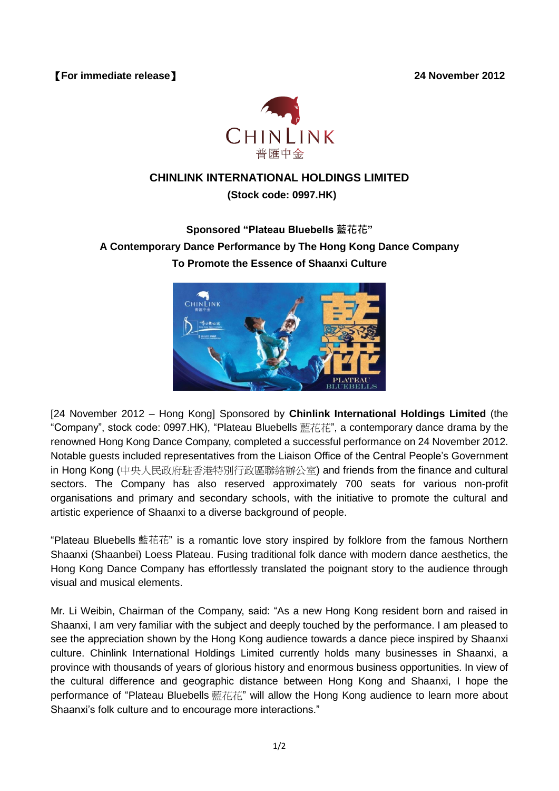

## **CHINLINK INTERNATIONAL HOLDINGS LIMITED**

## **(Stock code: 0997.HK)**

**Sponsored "Plateau Bluebells** 藍花花**" A Contemporary Dance Performance by The Hong Kong Dance Company To Promote the Essence of Shaanxi Culture**



[24 November 2012 – Hong Kong] Sponsored by **Chinlink International Holdings Limited** (the "Company", stock code: 0997.HK), "Plateau Bluebells 藍花花", a contemporary dance drama by the renowned Hong Kong Dance Company, completed a successful performance on 24 November 2012. Notable guests included representatives from the Liaison Office of the Central People's Government in Hong Kong (中央人民政府駐香港特別行政區聯絡辦公室) and friends from the finance and cultural sectors. The Company has also reserved approximately 700 seats for various non-profit organisations and primary and secondary schools, with the initiative to promote the cultural and artistic experience of Shaanxi to a diverse background of people.

"Plateau Bluebells 藍花花" is a romantic love story inspired by folklore from the famous Northern Shaanxi (Shaanbei) Loess Plateau. Fusing traditional folk dance with modern dance aesthetics, the Hong Kong Dance Company has effortlessly translated the poignant story to the audience through visual and musical elements.

Mr. Li Weibin, Chairman of the Company, said: "As a new Hong Kong resident born and raised in Shaanxi, I am very familiar with the subject and deeply touched by the performance. I am pleased to see the appreciation shown by the Hong Kong audience towards a dance piece inspired by Shaanxi culture. Chinlink International Holdings Limited currently holds many businesses in Shaanxi, a province with thousands of years of glorious history and enormous business opportunities. In view of the cultural difference and geographic distance between Hong Kong and Shaanxi, I hope the performance of "Plateau Bluebells 藍花花" will allow the Hong Kong audience to learn more about Shaanxi's folk culture and to encourage more interactions."